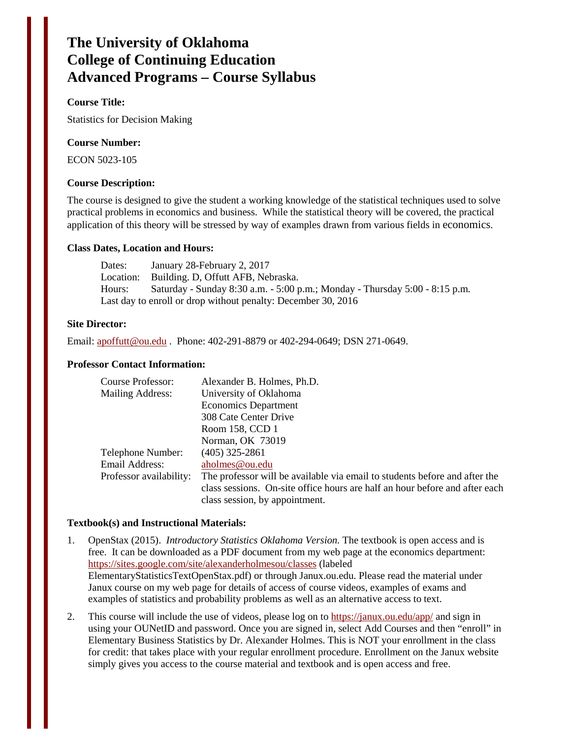# **The University of Oklahoma College of Continuing Education Advanced Programs – Course Syllabus**

## **Course Title:**

Statistics for Decision Making

#### **Course Number:**

ECON 5023-105

#### **Course Description:**

The course is designed to give the student a working knowledge of the statistical techniques used to solve practical problems in economics and business. While the statistical theory will be covered, the practical application of this theory will be stressed by way of examples drawn from various fields in economics.

#### **Class Dates, Location and Hours:**

Dates: January 28-February 2, 2017 Location: Building. D, Offutt AFB, Nebraska. Hours: Saturday - Sunday 8:30 a.m. - 5:00 p.m.; Monday - Thursday 5:00 - 8:15 p.m. Last day to enroll or drop without penalty: December 30, 2016

#### **Site Director:**

Email: [apoffutt@ou.edu](mailto:apoffutt@ou.edu) . Phone: 402-291-8879 or 402-294-0649; DSN 271-0649.

#### **Professor Contact Information:**

| Course Professor:       | Alexander B. Holmes, Ph.D.                                                  |
|-------------------------|-----------------------------------------------------------------------------|
| Mailing Address:        | University of Oklahoma                                                      |
|                         | <b>Economics Department</b>                                                 |
|                         | 308 Cate Center Drive                                                       |
|                         | Room 158, CCD 1                                                             |
|                         | Norman, OK 73019                                                            |
| Telephone Number:       | $(405)$ 325-2861                                                            |
| Email Address:          | aholmes@ou.edu                                                              |
| Professor availability: | The professor will be available via email to students before and after the  |
|                         | class sessions. On-site office hours are half an hour before and after each |
|                         | class session, by appointment.                                              |

#### **Textbook(s) and Instructional Materials:**

- 1. OpenStax (2015). *Introductory Statistics Oklahoma Version.* The textbook is open access and is free. It can be downloaded as a PDF document from my web page at the economics department: <https://sites.google.com/site/alexanderholmesou/classes> (labeled ElementaryStatisticsTextOpenStax.pdf) or through Janux.ou.edu. Please read the material under Janux course on my web page for details of access of course videos, examples of exams and examples of statistics and probability problems as well as an alternative access to text.
- 2. This course will include the use of videos, please log on to<https://janux.ou.edu/app/> and sign in using your OUNetID and password. Once you are signed in, select Add Courses and then "enroll" in Elementary Business Statistics by Dr. Alexander Holmes. This is NOT your enrollment in the class for credit: that takes place with your regular enrollment procedure. Enrollment on the Janux website simply gives you access to the course material and textbook and is open access and free.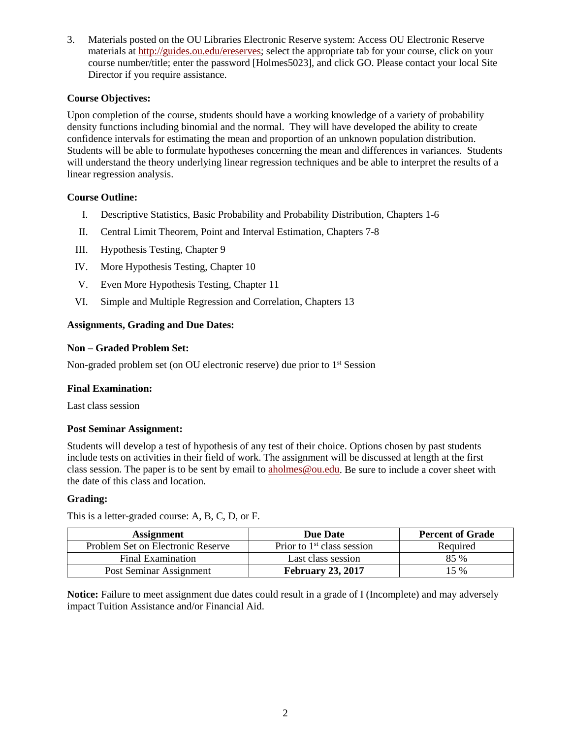3. Materials posted on the OU Libraries Electronic Reserve system: Access OU Electronic Reserve materials at [http://guides.ou.edu/ereserves;](http://guides.ou.edu/ereserves) select the appropriate tab for your course, click on your course number/title; enter the password [Holmes5023], and click GO. Please contact your local Site Director if you require assistance.

# **Course Objectives:**

Upon completion of the course, students should have a working knowledge of a variety of probability density functions including binomial and the normal. They will have developed the ability to create confidence intervals for estimating the mean and proportion of an unknown population distribution. Students will be able to formulate hypotheses concerning the mean and differences in variances. Students will understand the theory underlying linear regression techniques and be able to interpret the results of a linear regression analysis.

## **Course Outline:**

- I. Descriptive Statistics, Basic Probability and Probability Distribution, Chapters 1-6
- II. Central Limit Theorem, Point and Interval Estimation, Chapters 7-8
- III. Hypothesis Testing, Chapter 9
- IV. More Hypothesis Testing, Chapter 10
- V. Even More Hypothesis Testing, Chapter 11
- VI. Simple and Multiple Regression and Correlation, Chapters 13

## **Assignments, Grading and Due Dates:**

## **Non – Graded Problem Set:**

Non-graded problem set (on OU electronic reserve) due prior to 1<sup>st</sup> Session

## **Final Examination:**

Last class session

## **Post Seminar Assignment:**

Students will develop a test of hypothesis of any test of their choice. Options chosen by past students include tests on activities in their field of work. The assignment will be discussed at length at the first class session. The paper is to be sent by email t[o aholmes@ou.edu.](mailto:aholmes@ou.edu) Be sure to include a cover sheet with the date of this class and location.

## **Grading:**

This is a letter-graded course: A, B, C, D, or F.

| <b>Assignment</b>                 | <b>Due Date</b>              | <b>Percent of Grade</b> |
|-----------------------------------|------------------------------|-------------------------|
| Problem Set on Electronic Reserve | Prior to $1st$ class session | Required                |
| Final Examination                 | Last class session           | 85 %                    |
| Post Seminar Assignment           | <b>February 23, 2017</b>     | 15 %                    |

**Notice:** Failure to meet assignment due dates could result in a grade of I (Incomplete) and may adversely impact Tuition Assistance and/or Financial Aid.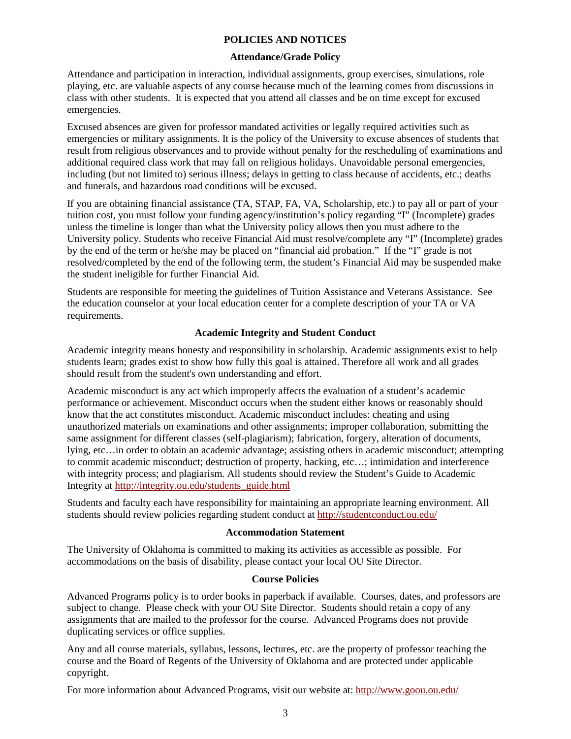### **POLICIES AND NOTICES**

## **Attendance/Grade Policy**

Attendance and participation in interaction, individual assignments, group exercises, simulations, role playing, etc. are valuable aspects of any course because much of the learning comes from discussions in class with other students. It is expected that you attend all classes and be on time except for excused emergencies.

Excused absences are given for professor mandated activities or legally required activities such as emergencies or military assignments. It is the policy of the University to excuse absences of students that result from religious observances and to provide without penalty for the rescheduling of examinations and additional required class work that may fall on religious holidays. Unavoidable personal emergencies, including (but not limited to) serious illness; delays in getting to class because of accidents, etc.; deaths and funerals, and hazardous road conditions will be excused.

If you are obtaining financial assistance (TA, STAP, FA, VA, Scholarship, etc.) to pay all or part of your tuition cost, you must follow your funding agency/institution's policy regarding "I" (Incomplete) grades unless the timeline is longer than what the University policy allows then you must adhere to the University policy. Students who receive Financial Aid must resolve/complete any "I" (Incomplete) grades by the end of the term or he/she may be placed on "financial aid probation." If the "I" grade is not resolved/completed by the end of the following term, the student's Financial Aid may be suspended make the student ineligible for further Financial Aid.

Students are responsible for meeting the guidelines of Tuition Assistance and Veterans Assistance. See the education counselor at your local education center for a complete description of your TA or VA requirements.

## **Academic Integrity and Student Conduct**

Academic integrity means honesty and responsibility in scholarship. Academic assignments exist to help students learn; grades exist to show how fully this goal is attained. Therefore all work and all grades should result from the student's own understanding and effort.

Academic misconduct is any act which improperly affects the evaluation of a student's academic performance or achievement. Misconduct occurs when the student either knows or reasonably should know that the act constitutes misconduct. Academic misconduct includes: cheating and using unauthorized materials on examinations and other assignments; improper collaboration, submitting the same assignment for different classes (self-plagiarism); fabrication, forgery, alteration of documents, lying, etc…in order to obtain an academic advantage; assisting others in academic misconduct; attempting to commit academic misconduct; destruction of property, hacking, etc…; intimidation and interference with integrity process; and plagiarism. All students should review the Student's Guide to Academic Integrity at [http://integrity.ou.edu/students\\_guide.html](http://integrity.ou.edu/students_guide.html)

Students and faculty each have responsibility for maintaining an appropriate learning environment. All students should review policies regarding student conduct at<http://studentconduct.ou.edu/>

#### **Accommodation Statement**

The University of Oklahoma is committed to making its activities as accessible as possible. For accommodations on the basis of disability, please contact your local OU Site Director.

#### **Course Policies**

Advanced Programs policy is to order books in paperback if available. Courses, dates, and professors are subject to change. Please check with your OU Site Director. Students should retain a copy of any assignments that are mailed to the professor for the course. Advanced Programs does not provide duplicating services or office supplies.

Any and all course materials, syllabus, lessons, lectures, etc. are the property of professor teaching the course and the Board of Regents of the University of Oklahoma and are protected under applicable copyright.

For more information about Advanced Programs, visit our website at:<http://www.goou.ou.edu/>